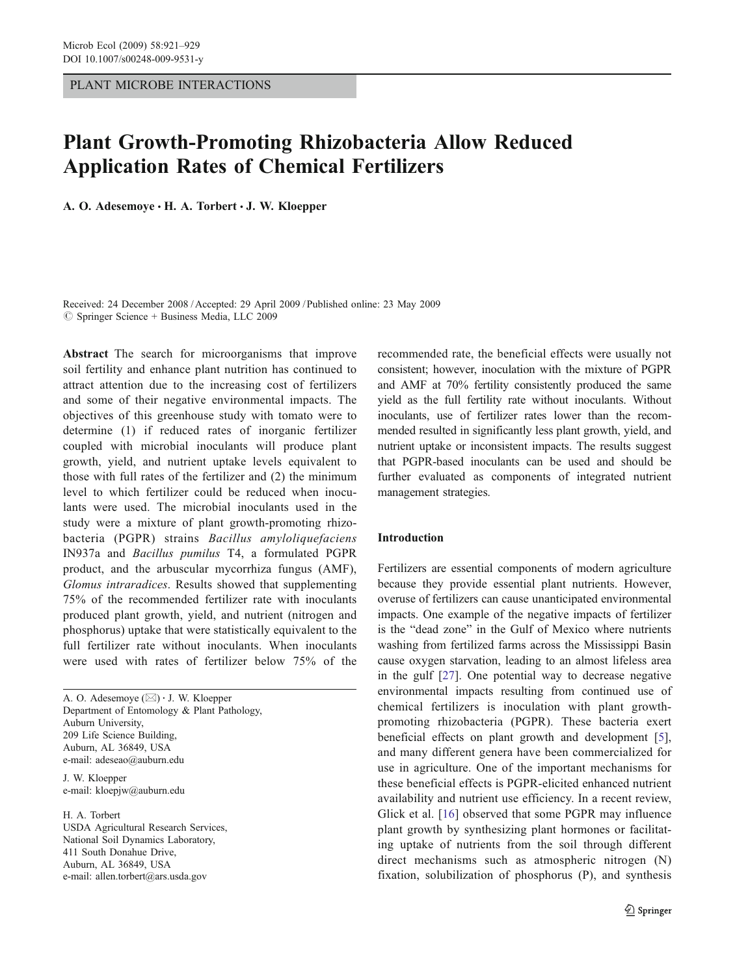PLANT MICROBE INTERACTIONS

# Plant Growth-Promoting Rhizobacteria Allow Reduced Application Rates of Chemical Fertilizers

A. O. Adesemoye · H. A. Torbert · J. W. Kloepper

Received: 24 December 2008 /Accepted: 29 April 2009 /Published online: 23 May 2009  $\oslash$  Springer Science + Business Media, LLC 2009

Abstract The search for microorganisms that improve soil fertility and enhance plant nutrition has continued to attract attention due to the increasing cost of fertilizers and some of their negative environmental impacts. The objectives of this greenhouse study with tomato were to determine (1) if reduced rates of inorganic fertilizer coupled with microbial inoculants will produce plant growth, yield, and nutrient uptake levels equivalent to those with full rates of the fertilizer and (2) the minimum level to which fertilizer could be reduced when inoculants were used. The microbial inoculants used in the study were a mixture of plant growth-promoting rhizobacteria (PGPR) strains Bacillus amyloliquefaciens IN937a and Bacillus pumilus T4, a formulated PGPR product, and the arbuscular mycorrhiza fungus (AMF), Glomus intraradices. Results showed that supplementing 75% of the recommended fertilizer rate with inoculants produced plant growth, yield, and nutrient (nitrogen and phosphorus) uptake that were statistically equivalent to the full fertilizer rate without inoculants. When inoculants were used with rates of fertilizer below 75% of the

A. O. Adesemoye (*\**) *:* J. W. Kloepper Department of Entomology & Plant Pathology, Auburn University, 209 Life Science Building, Auburn, AL 36849, USA e-mail: adeseao@auburn.edu

J. W. Kloepper e-mail: kloepjw@auburn.edu

H. A. Torbert USDA Agricultural Research Services, National Soil Dynamics Laboratory, 411 South Donahue Drive, Auburn, AL 36849, USA e-mail: allen.torbert@ars.usda.gov

recommended rate, the beneficial effects were usually not consistent; however, inoculation with the mixture of PGPR and AMF at 70% fertility consistently produced the same yield as the full fertility rate without inoculants. Without inoculants, use of fertilizer rates lower than the recommended resulted in significantly less plant growth, yield, and nutrient uptake or inconsistent impacts. The results suggest that PGPR-based inoculants can be used and should be further evaluated as components of integrated nutrient management strategies.

# Introduction

Fertilizers are essential components of modern agriculture because they provide essential plant nutrients. However, overuse of fertilizers can cause unanticipated environmental impacts. One example of the negative impacts of fertilizer is the "dead zone" in the Gulf of Mexico where nutrients washing from fertilized farms across the Mississippi Basin cause oxygen starvation, leading to an almost lifeless area in the gulf [[27\]](#page-8-0). One potential way to decrease negative environmental impacts resulting from continued use of chemical fertilizers is inoculation with plant growthpromoting rhizobacteria (PGPR). These bacteria exert beneficial effects on plant growth and development [[5\]](#page-7-0), and many different genera have been commercialized for use in agriculture. One of the important mechanisms for these beneficial effects is PGPR-elicited enhanced nutrient availability and nutrient use efficiency. In a recent review, Glick et al. [[16\]](#page-7-0) observed that some PGPR may influence plant growth by synthesizing plant hormones or facilitating uptake of nutrients from the soil through different direct mechanisms such as atmospheric nitrogen (N) fixation, solubilization of phosphorus (P), and synthesis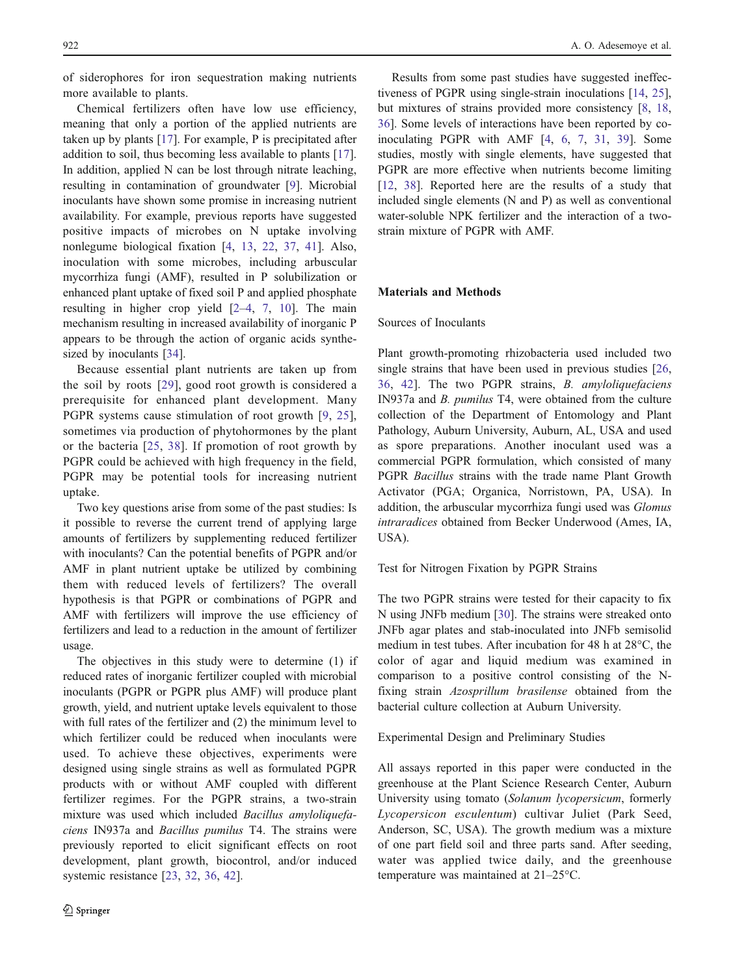of siderophores for iron sequestration making nutrients more available to plants.

Chemical fertilizers often have low use efficiency, meaning that only a portion of the applied nutrients are taken up by plants [\[17](#page-8-0)]. For example, P is precipitated after addition to soil, thus becoming less available to plants [\[17](#page-8-0)]. In addition, applied N can be lost through nitrate leaching, resulting in contamination of groundwater [[9\]](#page-7-0). Microbial inoculants have shown some promise in increasing nutrient availability. For example, previous reports have suggested positive impacts of microbes on N uptake involving nonlegume biological fixation [\[4](#page-7-0), [13](#page-7-0), [22,](#page-8-0) [37](#page-8-0), [41](#page-8-0)]. Also, inoculation with some microbes, including arbuscular mycorrhiza fungi (AMF), resulted in P solubilization or enhanced plant uptake of fixed soil P and applied phosphate resulting in higher crop yield [\[2](#page-7-0)–[4](#page-7-0), [7,](#page-7-0) [10](#page-7-0)]. The main mechanism resulting in increased availability of inorganic P appears to be through the action of organic acids synthesized by inoculants [\[34](#page-8-0)].

Because essential plant nutrients are taken up from the soil by roots [[29](#page-8-0)], good root growth is considered a prerequisite for enhanced plant development. Many PGPR systems cause stimulation of root growth [\[9,](#page-7-0) [25](#page-8-0)], sometimes via production of phytohormones by the plant or the bacteria [\[25,](#page-8-0) [38](#page-8-0)]. If promotion of root growth by PGPR could be achieved with high frequency in the field, PGPR may be potential tools for increasing nutrient uptake.

Two key questions arise from some of the past studies: Is it possible to reverse the current trend of applying large amounts of fertilizers by supplementing reduced fertilizer with inoculants? Can the potential benefits of PGPR and/or AMF in plant nutrient uptake be utilized by combining them with reduced levels of fertilizers? The overall hypothesis is that PGPR or combinations of PGPR and AMF with fertilizers will improve the use efficiency of fertilizers and lead to a reduction in the amount of fertilizer usage.

The objectives in this study were to determine (1) if reduced rates of inorganic fertilizer coupled with microbial inoculants (PGPR or PGPR plus AMF) will produce plant growth, yield, and nutrient uptake levels equivalent to those with full rates of the fertilizer and (2) the minimum level to which fertilizer could be reduced when inoculants were used. To achieve these objectives, experiments were designed using single strains as well as formulated PGPR products with or without AMF coupled with different fertilizer regimes. For the PGPR strains, a two-strain mixture was used which included Bacillus amyloliquefaciens IN937a and Bacillus pumilus T4. The strains were previously reported to elicit significant effects on root development, plant growth, biocontrol, and/or induced systemic resistance [\[23](#page-8-0), [32,](#page-8-0) [36,](#page-8-0) [42](#page-8-0)].

Results from some past studies have suggested ineffectiveness of PGPR using single-strain inoculations [[14,](#page-7-0) [25\]](#page-8-0), but mixtures of strains provided more consistency [\[8](#page-7-0), [18,](#page-8-0) [36](#page-8-0)]. Some levels of interactions have been reported by coinoculating PGPR with AMF [\[4](#page-7-0), [6](#page-7-0), [7](#page-7-0), [31,](#page-8-0) [39](#page-8-0)]. Some studies, mostly with single elements, have suggested that PGPR are more effective when nutrients become limiting [\[12](#page-7-0), [38](#page-8-0)]. Reported here are the results of a study that included single elements (N and P) as well as conventional water-soluble NPK fertilizer and the interaction of a twostrain mixture of PGPR with AMF.

#### Materials and Methods

# Sources of Inoculants

Plant growth-promoting rhizobacteria used included two single strains that have been used in previous studies [[26,](#page-8-0) [36](#page-8-0), [42](#page-8-0)]. The two PGPR strains, B. amyloliquefaciens IN937a and B. pumilus T4, were obtained from the culture collection of the Department of Entomology and Plant Pathology, Auburn University, Auburn, AL, USA and used as spore preparations. Another inoculant used was a commercial PGPR formulation, which consisted of many PGPR Bacillus strains with the trade name Plant Growth Activator (PGA; Organica, Norristown, PA, USA). In addition, the arbuscular mycorrhiza fungi used was Glomus intraradices obtained from Becker Underwood (Ames, IA, USA).

Test for Nitrogen Fixation by PGPR Strains

The two PGPR strains were tested for their capacity to fix N using JNFb medium [\[30](#page-8-0)]. The strains were streaked onto JNFb agar plates and stab-inoculated into JNFb semisolid medium in test tubes. After incubation for 48 h at 28°C, the color of agar and liquid medium was examined in comparison to a positive control consisting of the Nfixing strain Azosprillum brasilense obtained from the bacterial culture collection at Auburn University.

### Experimental Design and Preliminary Studies

All assays reported in this paper were conducted in the greenhouse at the Plant Science Research Center, Auburn University using tomato (Solanum lycopersicum, formerly Lycopersicon esculentum) cultivar Juliet (Park Seed, Anderson, SC, USA). The growth medium was a mixture of one part field soil and three parts sand. After seeding, water was applied twice daily, and the greenhouse temperature was maintained at 21–25°C.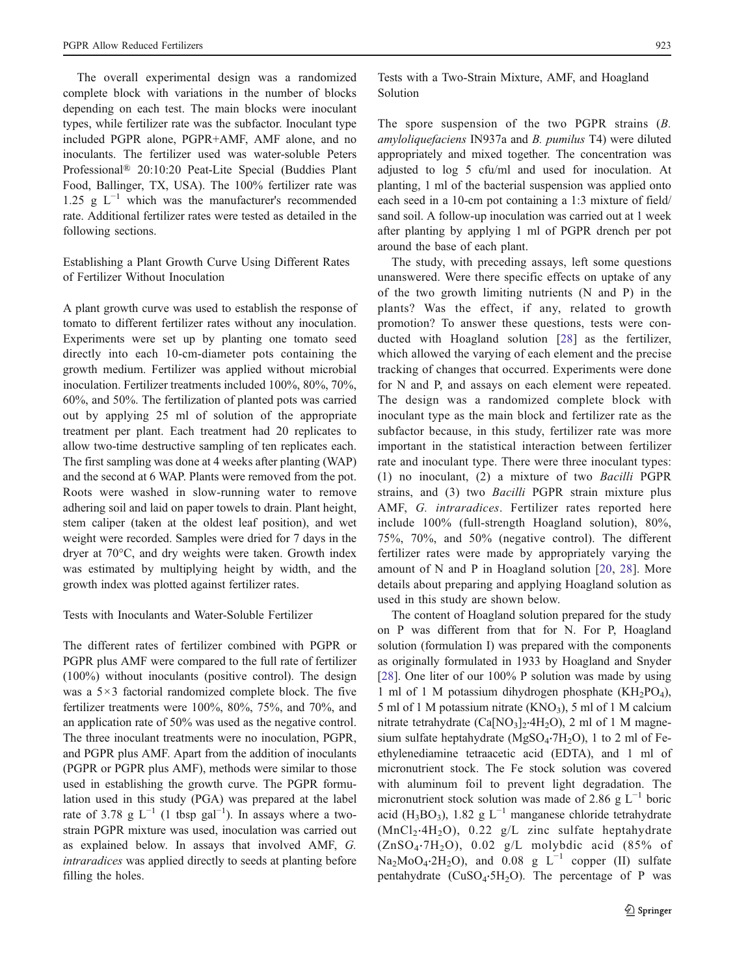The overall experimental design was a randomized complete block with variations in the number of blocks depending on each test. The main blocks were inoculant types, while fertilizer rate was the subfactor. Inoculant type included PGPR alone, PGPR+AMF, AMF alone, and no inoculants. The fertilizer used was water-soluble Peters Professional® 20:10:20 Peat-Lite Special (Buddies Plant Food, Ballinger, TX, USA). The 100% fertilizer rate was 1.25 g  $L^{-1}$  which was the manufacturer's recommended rate. Additional fertilizer rates were tested as detailed in the following sections.

Establishing a Plant Growth Curve Using Different Rates of Fertilizer Without Inoculation

A plant growth curve was used to establish the response of tomato to different fertilizer rates without any inoculation. Experiments were set up by planting one tomato seed directly into each 10-cm-diameter pots containing the growth medium. Fertilizer was applied without microbial inoculation. Fertilizer treatments included 100%, 80%, 70%, 60%, and 50%. The fertilization of planted pots was carried out by applying 25 ml of solution of the appropriate treatment per plant. Each treatment had 20 replicates to allow two-time destructive sampling of ten replicates each. The first sampling was done at 4 weeks after planting (WAP) and the second at 6 WAP. Plants were removed from the pot. Roots were washed in slow-running water to remove adhering soil and laid on paper towels to drain. Plant height, stem caliper (taken at the oldest leaf position), and wet weight were recorded. Samples were dried for 7 days in the dryer at 70°C, and dry weights were taken. Growth index was estimated by multiplying height by width, and the growth index was plotted against fertilizer rates.

## Tests with Inoculants and Water-Soluble Fertilizer

The different rates of fertilizer combined with PGPR or PGPR plus AMF were compared to the full rate of fertilizer (100%) without inoculants (positive control). The design was a 5×3 factorial randomized complete block. The five fertilizer treatments were 100%, 80%, 75%, and 70%, and an application rate of 50% was used as the negative control. The three inoculant treatments were no inoculation, PGPR, and PGPR plus AMF. Apart from the addition of inoculants (PGPR or PGPR plus AMF), methods were similar to those used in establishing the growth curve. The PGPR formulation used in this study (PGA) was prepared at the label rate of 3.78 g  $L^{-1}$  (1 tbsp gal<sup>-1</sup>). In assays where a twostrain PGPR mixture was used, inoculation was carried out as explained below. In assays that involved AMF, G. intraradices was applied directly to seeds at planting before filling the holes.

Tests with a Two-Strain Mixture, AMF, and Hoagland Solution

The spore suspension of the two PGPR strains  $(B, B)$ amyloliquefaciens IN937a and B. pumilus T4) were diluted appropriately and mixed together. The concentration was adjusted to log 5 cfu/ml and used for inoculation. At planting, 1 ml of the bacterial suspension was applied onto each seed in a 10-cm pot containing a 1:3 mixture of field/ sand soil. A follow-up inoculation was carried out at 1 week after planting by applying 1 ml of PGPR drench per pot around the base of each plant.

The study, with preceding assays, left some questions unanswered. Were there specific effects on uptake of any of the two growth limiting nutrients (N and P) in the plants? Was the effect, if any, related to growth promotion? To answer these questions, tests were conducted with Hoagland solution [\[28\]](#page-8-0) as the fertilizer, which allowed the varying of each element and the precise tracking of changes that occurred. Experiments were done for N and P, and assays on each element were repeated. The design was a randomized complete block with inoculant type as the main block and fertilizer rate as the subfactor because, in this study, fertilizer rate was more important in the statistical interaction between fertilizer rate and inoculant type. There were three inoculant types: (1) no inoculant, (2) a mixture of two Bacilli PGPR strains, and (3) two Bacilli PGPR strain mixture plus AMF, G. intraradices. Fertilizer rates reported here include 100% (full-strength Hoagland solution), 80%, 75%, 70%, and 50% (negative control). The different fertilizer rates were made by appropriately varying the amount of N and P in Hoagland solution [[20](#page-8-0), [28\]](#page-8-0). More details about preparing and applying Hoagland solution as used in this study are shown below.

The content of Hoagland solution prepared for the study on P was different from that for N. For P, Hoagland solution (formulation I) was prepared with the components as originally formulated in 1933 by Hoagland and Snyder [\[28](#page-8-0)]. One liter of our 100% P solution was made by using 1 ml of 1 M potassium dihydrogen phosphate  $(KH_2PO_4)$ , 5 ml of 1 M potassium nitrate  $(KNO_3)$ , 5 ml of 1 M calcium nitrate tetrahydrate  $(Ca[NO<sub>3</sub>]<sub>2</sub>·4H<sub>2</sub>O)$ , 2 ml of 1 M magnesium sulfate heptahydrate (MgSO<sub>4</sub>⋅7H<sub>2</sub>O), 1 to 2 ml of Feethylenediamine tetraacetic acid (EDTA), and 1 ml of micronutrient stock. The Fe stock solution was covered with aluminum foil to prevent light degradation. The micronutrient stock solution was made of 2.86 g  $L^{-1}$  boric acid (H<sub>3</sub>BO<sub>3</sub>), 1.82 g L<sup>-1</sup> manganese chloride tetrahydrate  $(MnCl<sub>2</sub>·4H<sub>2</sub>O)$ , 0.22 g/L zinc sulfate heptahydrate  $(ZnSO<sub>4</sub>·7H<sub>2</sub>O)$ , 0.02 g/L molybdic acid (85% of  $Na<sub>2</sub>MoO<sub>4</sub>·2H<sub>2</sub>O$ , and 0.08 g L<sup>-1</sup> copper (II) sulfate pentahydrate ( $CuSO<sub>4</sub>·5H<sub>2</sub>O$ ). The percentage of P was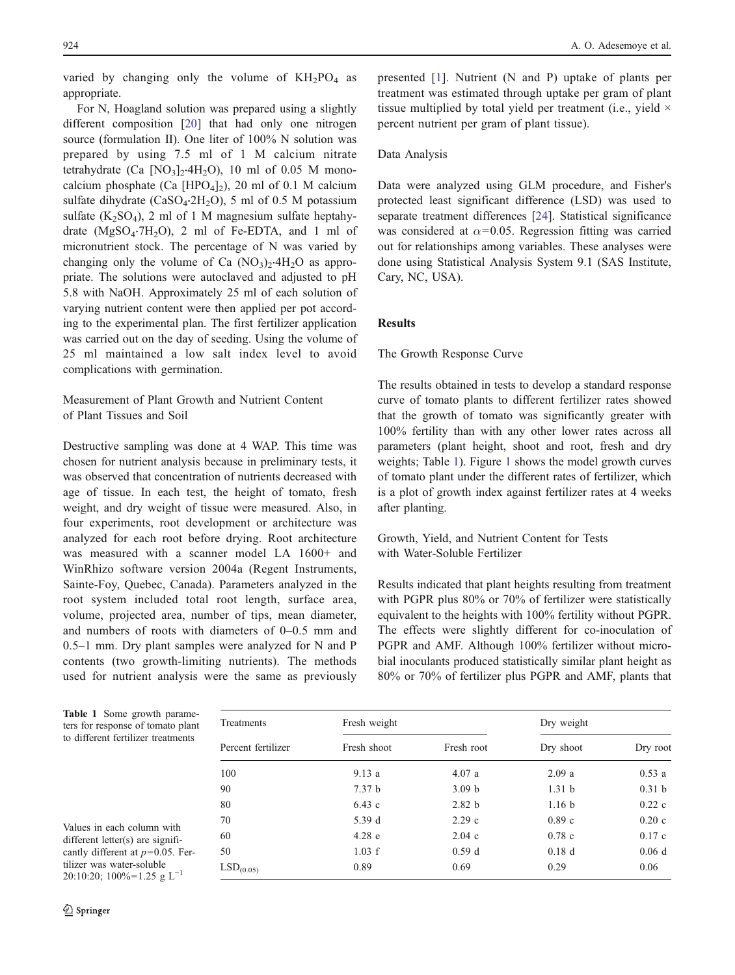<span id="page-3-0"></span>varied by changing only the volume of  $KH_2PO_4$  as appropriate.

For N, Hoagland solution was prepared using a slightly different composition [[20\]](#page-8-0) that had only one nitrogen source (formulation II). One liter of 100% N solution was prepared by using 7.5 ml of 1 M calcium nitrate tetrahydrate (Ca [NO<sub>3</sub>]<sub>2</sub>⋅4H<sub>2</sub>O), 10 ml of 0.05 M monocalcium phosphate (Ca [HPO<sub>4</sub>]<sub>2</sub>), 20 ml of 0.1 M calcium sulfate dihydrate ( $CaSO_4.2H_2O$ ), 5 ml of 0.5 M potassium sulfate  $(K_2SO_4)$ , 2 ml of 1 M magnesium sulfate heptahydrate  $(MgSO_4·7H_2O)$ , 2 ml of Fe-EDTA, and 1 ml of micronutrient stock. The percentage of N was varied by changing only the volume of Ca  $(NO<sub>3</sub>)<sub>2</sub>·4H<sub>2</sub>O$  as appropriate. The solutions were autoclaved and adjusted to pH 5.8 with NaOH. Approximately 25 ml of each solution of varying nutrient content were then applied per pot according to the experimental plan. The first fertilizer application was carried out on the day of seeding. Using the volume of 25 ml maintained a low salt index level to avoid complications with germination.

Measurement of Plant Growth and Nutrient Content of Plant Tissues and Soil

Destructive sampling was done at 4 WAP. This time was chosen for nutrient analysis because in preliminary tests, it was observed that concentration of nutrients decreased with age of tissue. In each test, the height of tomato, fresh weight, and dry weight of tissue were measured. Also, in four experiments, root development or architecture was analyzed for each root before drying. Root architecture was measured with a scanner model LA 1600+ and WinRhizo software version 2004a (Regent Instruments, Sainte-Foy, Quebec, Canada). Parameters analyzed in the root system included total root length, surface area, volume, projected area, number of tips, mean diameter, and numbers of roots with diameters of 0–0.5 mm and 0.5–1 mm. Dry plant samples were analyzed for N and P contents (two growth-limiting nutrients). The methods used for nutrient analysis were the same as previously presented [\[1](#page-7-0)]. Nutrient (N and P) uptake of plants per treatment was estimated through uptake per gram of plant tissue multiplied by total yield per treatment (i.e., yield  $\times$ percent nutrient per gram of plant tissue).

## Data Analysis

Data were analyzed using GLM procedure, and Fisher's protected least significant difference (LSD) was used to separate treatment differences [\[24](#page-8-0)]. Statistical significance was considered at  $\alpha$ =0.05. Regression fitting was carried out for relationships among variables. These analyses were done using Statistical Analysis System 9.1 (SAS Institute, Cary, NC, USA).

## **Results**

## The Growth Response Curve

The results obtained in tests to develop a standard response curve of tomato plants to different fertilizer rates showed that the growth of tomato was significantly greater with 100% fertility than with any other lower rates across all parameters (plant height, shoot and root, fresh and dry weights; Table 1). Figure [1](#page-4-0) shows the model growth curves of tomato plant under the different rates of fertilizer, which is a plot of growth index against fertilizer rates at 4 weeks after planting.

Growth, Yield, and Nutrient Content for Tests with Water-Soluble Fertilizer

Results indicated that plant heights resulting from treatment with PGPR plus 80% or 70% of fertilizer were statistically equivalent to the heights with 100% fertility without PGPR. The effects were slightly different for co-inoculation of PGPR and AMF. Although 100% fertilizer without microbial inoculants produced statistically similar plant height as 80% or 70% of fertilizer plus PGPR and AMF, plants that

| Treatments<br>Percent fertilizer | Fresh weight      |                   | Dry weight        |                   |
|----------------------------------|-------------------|-------------------|-------------------|-------------------|
|                                  | Fresh shoot       | Fresh root        | Dry shoot         | Dry root          |
| 100                              | 9.13a             | 4.07a             | 2.09a             | 0.53a             |
| 90                               | 7.37 <sub>b</sub> | 3.09 <sub>b</sub> | 1.31 <sub>b</sub> | 0.31 <sub>b</sub> |
| 80                               | 6.43c             | 2.82 b            | 1.16 <sub>b</sub> | 0.22c             |
| 70                               | 5.39 d            | 2.29c             | 0.89c             | 0.20c             |
| 60                               | $4.28$ e          | 2.04c             | 0.78c             | 0.17c             |
| 50                               | 1.03 f            | 0.59d             | 0.18d             | 0.06d             |
| LSD <sub>(0.05)</sub>            | 0.89              | 0.69              | 0.29              | 0.06              |

Table 1 Some growth parameters for response of tomato plant to different fertilizer treatments

Values in each column with different letter(s) are significantly different at  $p=0.05$ . Fertilizer was water-soluble 20:10:20; 100%=1.25 g L<sup>-1</sup>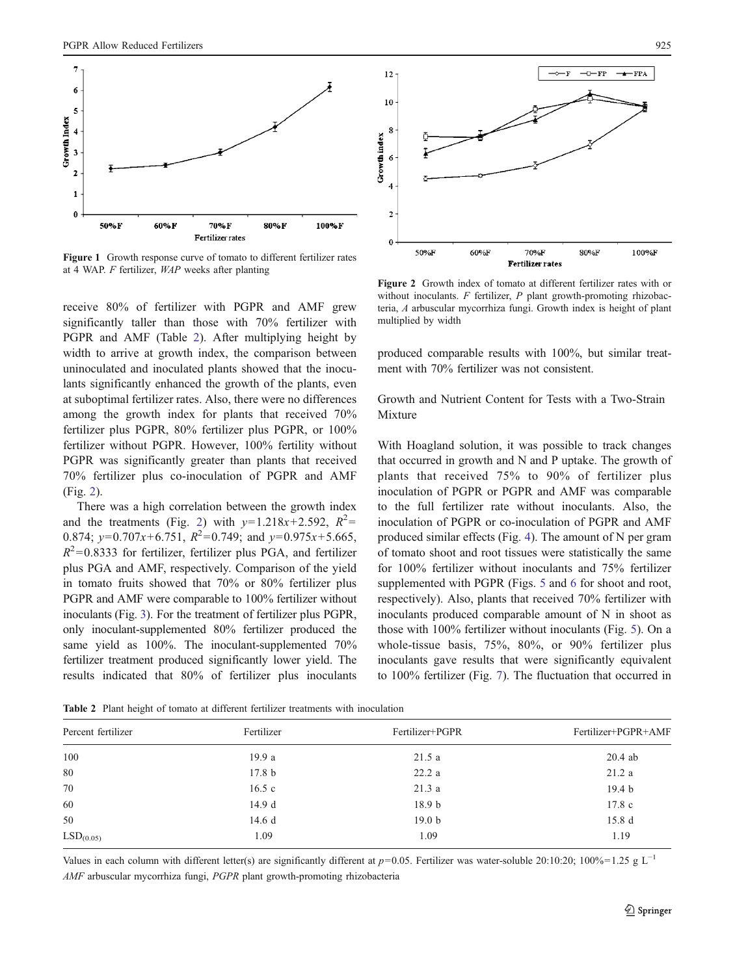<span id="page-4-0"></span>

Figure 1 Growth response curve of tomato to different fertilizer rates at 4 WAP. F fertilizer, WAP weeks after planting

receive 80% of fertilizer with PGPR and AMF grew significantly taller than those with 70% fertilizer with PGPR and AMF (Table 2). After multiplying height by width to arrive at growth index, the comparison between uninoculated and inoculated plants showed that the inoculants significantly enhanced the growth of the plants, even at suboptimal fertilizer rates. Also, there were no differences among the growth index for plants that received 70% fertilizer plus PGPR, 80% fertilizer plus PGPR, or 100% fertilizer without PGPR. However, 100% fertility without PGPR was significantly greater than plants that received 70% fertilizer plus co-inoculation of PGPR and AMF (Fig. 2).

There was a high correlation between the growth index and the treatments (Fig. 2) with  $y=1.218x+2.592$ ,  $R^2=$ 0.874;  $y=0.707x+6.751$ ,  $R^2=0.749$ ; and  $y=0.975x+5.665$ ,  $R^2$ =0.8333 for fertilizer, fertilizer plus PGA, and fertilizer plus PGA and AMF, respectively. Comparison of the yield in tomato fruits showed that 70% or 80% fertilizer plus PGPR and AMF were comparable to 100% fertilizer without inoculants (Fig. [3\)](#page-5-0). For the treatment of fertilizer plus PGPR, only inoculant-supplemented 80% fertilizer produced the same yield as 100%. The inoculant-supplemented 70% fertilizer treatment produced significantly lower yield. The results indicated that 80% of fertilizer plus inoculants



Figure 2 Growth index of tomato at different fertilizer rates with or without inoculants.  $F$  fertilizer,  $P$  plant growth-promoting rhizobacteria, A arbuscular mycorrhiza fungi. Growth index is height of plant multiplied by width

produced comparable results with 100%, but similar treatment with 70% fertilizer was not consistent.

Growth and Nutrient Content for Tests with a Two-Strain Mixture

With Hoagland solution, it was possible to track changes that occurred in growth and N and P uptake. The growth of plants that received 75% to 90% of fertilizer plus inoculation of PGPR or PGPR and AMF was comparable to the full fertilizer rate without inoculants. Also, the inoculation of PGPR or co-inoculation of PGPR and AMF produced similar effects (Fig. [4](#page-5-0)). The amount of N per gram of tomato shoot and root tissues were statistically the same for 100% fertilizer without inoculants and 75% fertilizer supplemented with PGPR (Figs. [5](#page-5-0) and [6](#page-5-0) for shoot and root, respectively). Also, plants that received 70% fertilizer with inoculants produced comparable amount of N in shoot as those with 100% fertilizer without inoculants (Fig. [5](#page-5-0)). On a whole-tissue basis, 75%, 80%, or 90% fertilizer plus inoculants gave results that were significantly equivalent to 100% fertilizer (Fig. [7](#page-6-0)). The fluctuation that occurred in

Percent fertilizer Fertilizer Fertilizer+PGPR Fertilizer+PGPR+AMF 100 80 70 60 50  $LSD<sub>(0.05)</sub>$ 19.9 a 17.8 b 16.5 c 14.9 d 14.6 d 1.09 21.5 a 22.2 a 21.3 a 18.9 b 19.0 b 1.09 20.4 ab 21.2 a 19.4 b 17.8 c 15.8 d 1.19

Table 2 Plant height of tomato at different fertilizer treatments with inoculation

Values in each column with different letter(s) are significantly different at  $p=0.05$ . Fertilizer was water-soluble 20:10:20; 100%=1.25 g L<sup>-1</sup> AMF arbuscular mycorrhiza fungi, PGPR plant growth-promoting rhizobacteria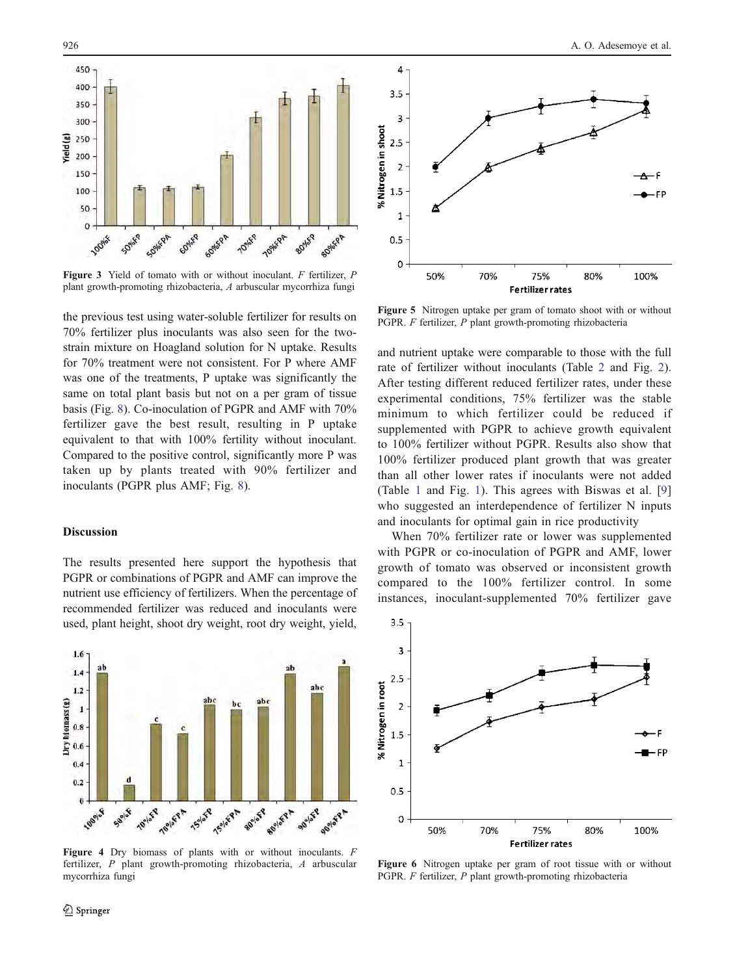<span id="page-5-0"></span>

Figure 3 Yield of tomato with or without inoculant. F fertilizer, P plant growth-promoting rhizobacteria, A arbuscular mycorrhiza fungi

the previous test using water-soluble fertilizer for results on 70% fertilizer plus inoculants was also seen for the twostrain mixture on Hoagland solution for N uptake. Results for 70% treatment were not consistent. For P where AMF was one of the treatments, P uptake was significantly the same on total plant basis but not on a per gram of tissue basis (Fig. [8](#page-6-0)). Co-inoculation of PGPR and AMF with 70% fertilizer gave the best result, resulting in P uptake equivalent to that with 100% fertility without inoculant. Compared to the positive control, significantly more P was taken up by plants treated with 90% fertilizer and inoculants (PGPR plus AMF; Fig. [8\)](#page-6-0).

### Discussion

The results presented here support the hypothesis that PGPR or combinations of PGPR and AMF can improve the nutrient use efficiency of fertilizers. When the percentage of recommended fertilizer was reduced and inoculants were used, plant height, shoot dry weight, root dry weight, yield,



Figure 4 Dry biomass of plants with or without inoculants. F fertilizer, P plant growth-promoting rhizobacteria, A arbuscular mycorrhiza fungi



Figure 5 Nitrogen uptake per gram of tomato shoot with or without PGPR. F fertilizer, P plant growth-promoting rhizobacteria

and nutrient uptake were comparable to those with the full rate of fertilizer without inoculants (Table [2](#page-4-0) and Fig. [2\)](#page-4-0). After testing different reduced fertilizer rates, under these experimental conditions, 75% fertilizer was the stable minimum to which fertilizer could be reduced if supplemented with PGPR to achieve growth equivalent to 100% fertilizer without PGPR. Results also show that 100% fertilizer produced plant growth that was greater than all other lower rates if inoculants were not added (Table [1](#page-3-0) and Fig. [1\)](#page-4-0). This agrees with Biswas et al. [[9](#page-7-0)] who suggested an interdependence of fertilizer N inputs and inoculants for optimal gain in rice productivity

When 70% fertilizer rate or lower was supplemented with PGPR or co-inoculation of PGPR and AMF, lower growth of tomato was observed or inconsistent growth compared to the 100% fertilizer control. In some instances, inoculant-supplemented 70% fertilizer gave



Figure 6 Nitrogen uptake per gram of root tissue with or without PGPR. F fertilizer, P plant growth-promoting rhizobacteria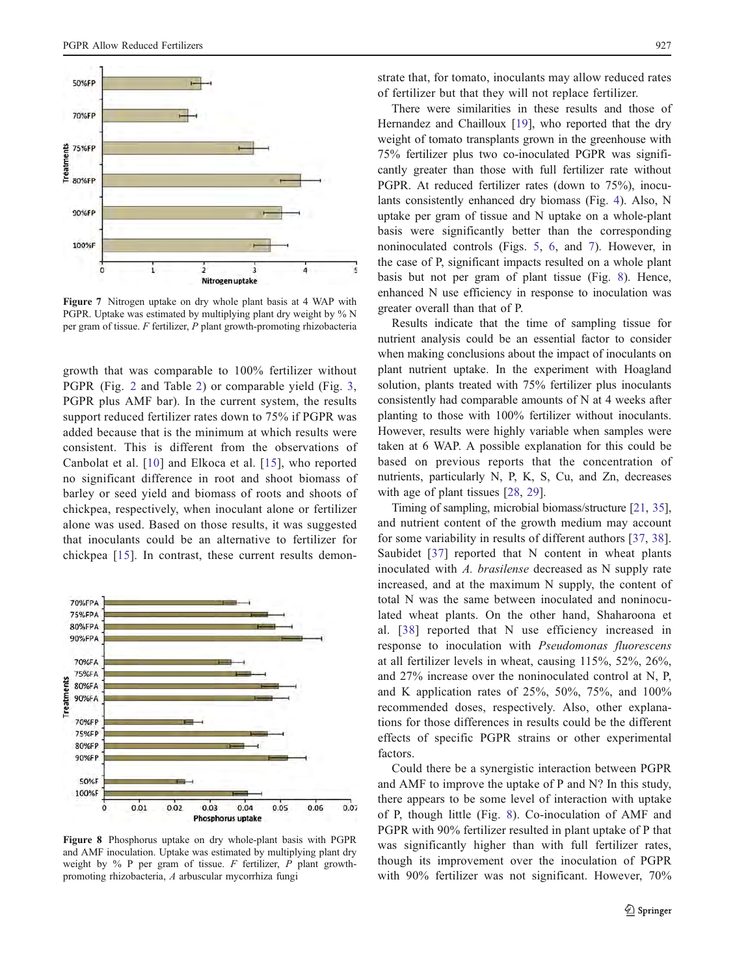<span id="page-6-0"></span>

Figure 7 Nitrogen uptake on dry whole plant basis at 4 WAP with PGPR. Uptake was estimated by multiplying plant dry weight by % N per gram of tissue. F fertilizer, P plant growth-promoting rhizobacteria

growth that was comparable to 100% fertilizer without PGPR (Fig. [2](#page-4-0) and Table [2](#page-4-0)) or comparable yield (Fig. [3,](#page-5-0) PGPR plus AMF bar). In the current system, the results support reduced fertilizer rates down to 75% if PGPR was added because that is the minimum at which results were consistent. This is different from the observations of Canbolat et al. [\[10\]](#page-7-0) and Elkoca et al. [\[15\]](#page-7-0), who reported no significant difference in root and shoot biomass of barley or seed yield and biomass of roots and shoots of chickpea, respectively, when inoculant alone or fertilizer alone was used. Based on those results, it was suggested that inoculants could be an alternative to fertilizer for chickpea [\[15](#page-7-0)]. In contrast, these current results demon-



Figure 8 Phosphorus uptake on dry whole-plant basis with PGPR and AMF inoculation. Uptake was estimated by multiplying plant dry weight by  $\%$  P per gram of tissue. F fertilizer, P plant growthpromoting rhizobacteria, A arbuscular mycorrhiza fungi

strate that, for tomato, inoculants may allow reduced rates of fertilizer but that they will not replace fertilizer.

There were similarities in these results and those of Hernandez and Chailloux [[19\]](#page-8-0), who reported that the dry weight of tomato transplants grown in the greenhouse with 75% fertilizer plus two co-inoculated PGPR was significantly greater than those with full fertilizer rate without PGPR. At reduced fertilizer rates (down to 75%), inoculants consistently enhanced dry biomass (Fig. [4](#page-5-0)). Also, N uptake per gram of tissue and N uptake on a whole-plant basis were significantly better than the corresponding noninoculated controls (Figs. [5](#page-5-0), [6](#page-5-0), and 7). However, in the case of P, significant impacts resulted on a whole plant basis but not per gram of plant tissue (Fig. 8). Hence, enhanced N use efficiency in response to inoculation was greater overall than that of P.

Results indicate that the time of sampling tissue for nutrient analysis could be an essential factor to consider when making conclusions about the impact of inoculants on plant nutrient uptake. In the experiment with Hoagland solution, plants treated with 75% fertilizer plus inoculants consistently had comparable amounts of N at 4 weeks after planting to those with 100% fertilizer without inoculants. However, results were highly variable when samples were taken at 6 WAP. A possible explanation for this could be based on previous reports that the concentration of nutrients, particularly N, P, K, S, Cu, and Zn, decreases with age of plant tissues [\[28](#page-8-0), [29](#page-8-0)].

Timing of sampling, microbial biomass/structure [[21](#page-8-0), [35\]](#page-8-0), and nutrient content of the growth medium may account for some variability in results of different authors [[37,](#page-8-0) [38](#page-8-0)]. Saubidet [[37](#page-8-0)] reported that N content in wheat plants inoculated with A. brasilense decreased as N supply rate increased, and at the maximum N supply, the content of total N was the same between inoculated and noninoculated wheat plants. On the other hand, Shaharoona et al. [[38\]](#page-8-0) reported that N use efficiency increased in response to inoculation with Pseudomonas fluorescens at all fertilizer levels in wheat, causing 115%, 52%, 26%, and 27% increase over the noninoculated control at N, P, and K application rates of 25%, 50%, 75%, and 100% recommended doses, respectively. Also, other explanations for those differences in results could be the different effects of specific PGPR strains or other experimental factors.

Could there be a synergistic interaction between PGPR and AMF to improve the uptake of P and N? In this study, there appears to be some level of interaction with uptake of P, though little (Fig. 8). Co-inoculation of AMF and PGPR with 90% fertilizer resulted in plant uptake of P that was significantly higher than with full fertilizer rates, though its improvement over the inoculation of PGPR with 90% fertilizer was not significant. However, 70%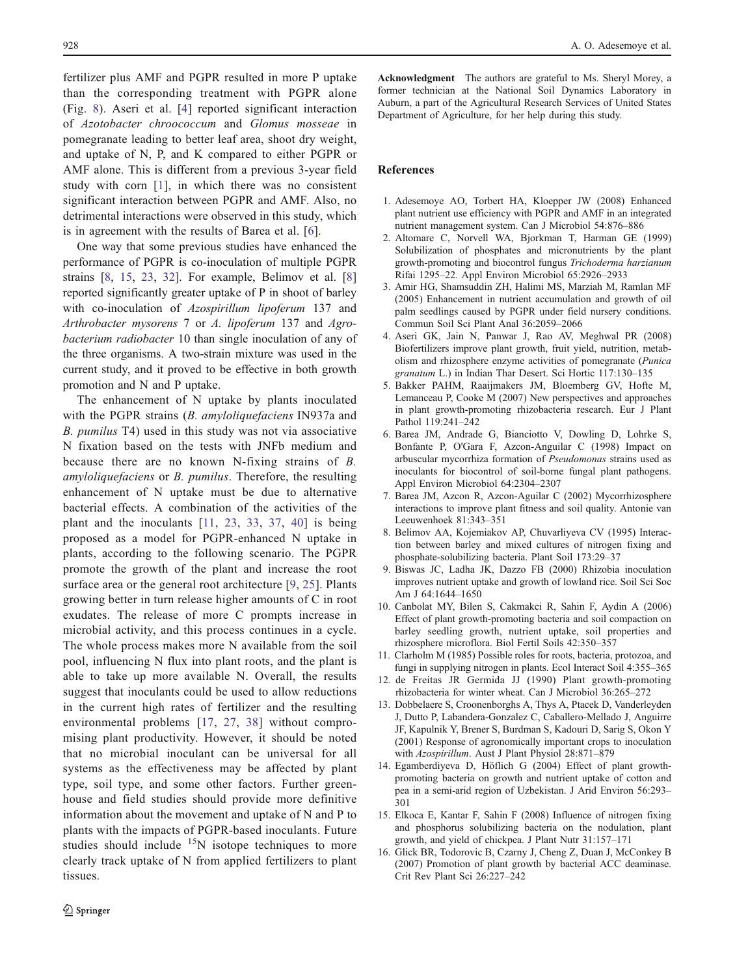<span id="page-7-0"></span>fertilizer plus AMF and PGPR resulted in more P uptake than the corresponding treatment with PGPR alone (Fig. [8](#page-6-0)). Aseri et al. [4] reported significant interaction of Azotobacter chroococcum and Glomus mosseae in pomegranate leading to better leaf area, shoot dry weight, and uptake of N, P, and K compared to either PGPR or AMF alone. This is different from a previous 3-year field study with corn [1], in which there was no consistent significant interaction between PGPR and AMF. Also, no detrimental interactions were observed in this study, which is in agreement with the results of Barea et al. [6].

One way that some previous studies have enhanced the performance of PGPR is co-inoculation of multiple PGPR strains [8, 15, [23,](#page-8-0) [32\]](#page-8-0). For example, Belimov et al. [8] reported significantly greater uptake of P in shoot of barley with co-inoculation of Azospirillum lipoferum 137 and Arthrobacter mysorens 7 or A. lipoferum 137 and Agrobacterium radiobacter 10 than single inoculation of any of the three organisms. A two-strain mixture was used in the current study, and it proved to be effective in both growth promotion and N and P uptake.

The enhancement of N uptake by plants inoculated with the PGPR strains (B. amyloliquefaciens IN937a and B. pumilus T4) used in this study was not via associative N fixation based on the tests with JNFb medium and because there are no known N-fixing strains of B. amyloliquefaciens or B. pumilus. Therefore, the resulting enhancement of N uptake must be due to alternative bacterial effects. A combination of the activities of the plant and the inoculants [11, [23](#page-8-0), [33](#page-8-0), [37](#page-8-0), [40](#page-8-0)] is being proposed as a model for PGPR-enhanced N uptake in plants, according to the following scenario. The PGPR promote the growth of the plant and increase the root surface area or the general root architecture [9, [25\]](#page-8-0). Plants growing better in turn release higher amounts of C in root exudates. The release of more C prompts increase in microbial activity, and this process continues in a cycle. The whole process makes more N available from the soil pool, influencing N flux into plant roots, and the plant is able to take up more available N. Overall, the results suggest that inoculants could be used to allow reductions in the current high rates of fertilizer and the resulting environmental problems [\[17](#page-8-0), [27,](#page-8-0) [38\]](#page-8-0) without compromising plant productivity. However, it should be noted that no microbial inoculant can be universal for all systems as the effectiveness may be affected by plant type, soil type, and some other factors. Further greenhouse and field studies should provide more definitive information about the movement and uptake of N and P to plants with the impacts of PGPR-based inoculants. Future studies should include  $15N$  isotope techniques to more clearly track uptake of N from applied fertilizers to plant tissues.

Acknowledgment The authors are grateful to Ms. Sheryl Morey, a former technician at the National Soil Dynamics Laboratory in Auburn, a part of the Agricultural Research Services of United States Department of Agriculture, for her help during this study.

# References

- 1. Adesemoye AO, Torbert HA, Kloepper JW (2008) Enhanced plant nutrient use efficiency with PGPR and AMF in an integrated nutrient management system. Can J Microbiol 54:876–886
- 2. Altomare C, Norvell WA, Bjorkman T, Harman GE (1999) Solubilization of phosphates and micronutrients by the plant growth-promoting and biocontrol fungus Trichoderma harzianum Rifai 1295–22. Appl Environ Microbiol 65:2926–2933
- 3. Amir HG, Shamsuddin ZH, Halimi MS, Marziah M, Ramlan MF (2005) Enhancement in nutrient accumulation and growth of oil palm seedlings caused by PGPR under field nursery conditions. Commun Soil Sci Plant Anal 36:2059–2066
- 4. Aseri GK, Jain N, Panwar J, Rao AV, Meghwal PR (2008) Biofertilizers improve plant growth, fruit yield, nutrition, metabolism and rhizosphere enzyme activities of pomegranate (Punica granatum L.) in Indian Thar Desert. Sci Hortic 117:130–135
- 5. Bakker PAHM, Raaijmakers JM, Bloemberg GV, Hofte M, Lemanceau P, Cooke M (2007) New perspectives and approaches in plant growth-promoting rhizobacteria research. Eur J Plant Pathol 119:241–242
- 6. Barea JM, Andrade G, Bianciotto V, Dowling D, Lohrke S, Bonfante P, O'Gara F, Azcon-Anguilar C (1998) Impact on arbuscular mycorrhiza formation of Pseudomonas strains used as inoculants for biocontrol of soil-borne fungal plant pathogens. Appl Environ Microbiol 64:2304–2307
- 7. Barea JM, Azcon R, Azcon-Aguilar C (2002) Mycorrhizosphere interactions to improve plant fitness and soil quality. Antonie van Leeuwenhoek 81:343–351
- 8. Belimov AA, Kojemiakov AP, Chuvarliyeva CV (1995) Interaction between barley and mixed cultures of nitrogen fixing and phosphate-solubilizing bacteria. Plant Soil 173:29–37
- 9. Biswas JC, Ladha JK, Dazzo FB (2000) Rhizobia inoculation improves nutrient uptake and growth of lowland rice. Soil Sci Soc Am J 64:1644–1650
- 10. Canbolat MY, Bilen S, Cakmakci R, Sahin F, Aydin A (2006) Effect of plant growth-promoting bacteria and soil compaction on barley seedling growth, nutrient uptake, soil properties and rhizosphere microflora. Biol Fertil Soils 42:350–357
- 11. Clarholm M (1985) Possible roles for roots, bacteria, protozoa, and fungi in supplying nitrogen in plants. Ecol Interact Soil 4:355–365
- 12. de Freitas JR Germida JJ (1990) Plant growth-promoting rhizobacteria for winter wheat. Can J Microbiol 36:265–272
- 13. Dobbelaere S, Croonenborghs A, Thys A, Ptacek D, Vanderleyden J, Dutto P, Labandera-Gonzalez C, Caballero-Mellado J, Anguirre JF, Kapulnik Y, Brener S, Burdman S, Kadouri D, Sarig S, Okon Y (2001) Response of agronomically important crops to inoculation with Azospirillum. Aust J Plant Physiol 28:871–879
- 14. Egamberdiyeva D, Höflich G (2004) Effect of plant growthpromoting bacteria on growth and nutrient uptake of cotton and pea in a semi-arid region of Uzbekistan. J Arid Environ 56:293– 301
- 15. Elkoca E, Kantar F, Sahin F (2008) Influence of nitrogen fixing and phosphorus solubilizing bacteria on the nodulation, plant growth, and yield of chickpea. J Plant Nutr 31:157–171
- 16. Glick BR, Todorovic B, Czarny J, Cheng Z, Duan J, McConkey B (2007) Promotion of plant growth by bacterial ACC deaminase. Crit Rev Plant Sci 26:227–242